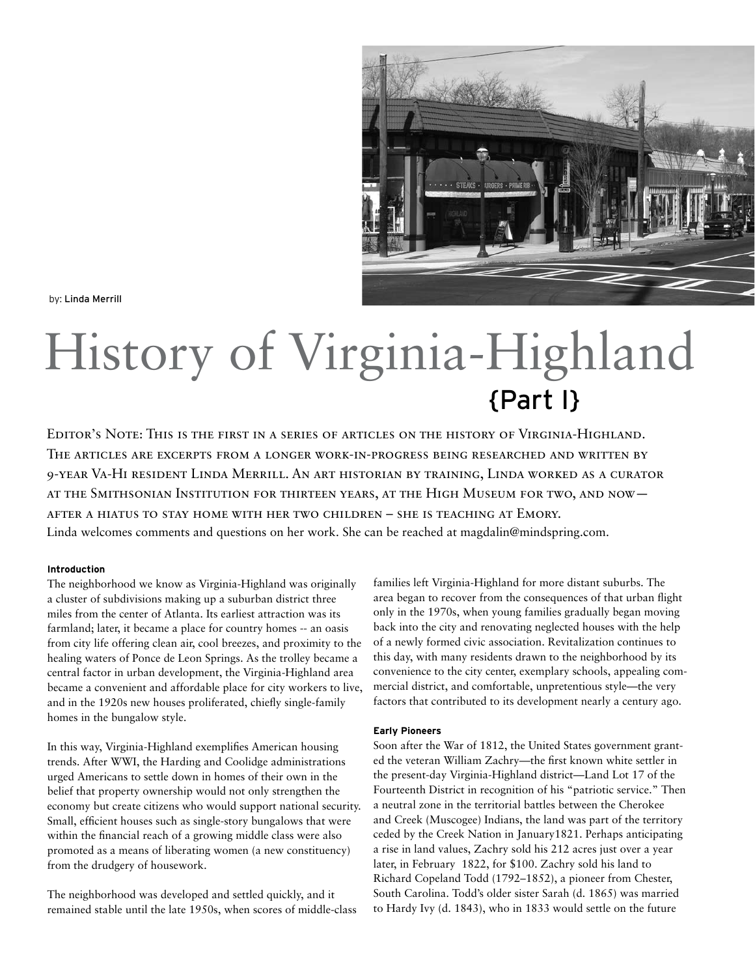

by: Linda Merrill

# History of Virginia-Highland {Part I}

Editor's Note: This is the first in a series of articles on the history of Virginia-Highland. The articles are excerpts from a longer work-in-progress being researched and written by 9-year Va-Hi resident Linda Merrill. An art historian by training, Linda worked as a curator at the Smithsonian Institution for thirteen years, at the High Museum for two, and now after a hiatus to stay home with her two children – she is teaching at Emory. Linda welcomes comments and questions on her work. She can be reached at magdalin@mindspring.com.

### **Introduction**

The neighborhood we know as Virginia-Highland was originally a cluster of subdivisions making up a suburban district three miles from the center of Atlanta. Its earliest attraction was its farmland; later, it became a place for country homes -- an oasis from city life offering clean air, cool breezes, and proximity to the healing waters of Ponce de Leon Springs. As the trolley became a central factor in urban development, the Virginia-Highland area became a convenient and affordable place for city workers to live, and in the 1920s new houses proliferated, chiefly single-family homes in the bungalow style.

In this way, Virginia-Highland exemplifies American housing trends. After WWI, the Harding and Coolidge administrations urged Americans to settle down in homes of their own in the belief that property ownership would not only strengthen the economy but create citizens who would support national security. Small, efficient houses such as single-story bungalows that were within the financial reach of a growing middle class were also promoted as a means of liberating women (a new constituency) from the drudgery of housework.

The neighborhood was developed and settled quickly, and it remained stable until the late 1950s, when scores of middle-class

families left Virginia-Highland for more distant suburbs. The area began to recover from the consequences of that urban flight only in the 1970s, when young families gradually began moving back into the city and renovating neglected houses with the help of a newly formed civic association. Revitalization continues to this day, with many residents drawn to the neighborhood by its convenience to the city center, exemplary schools, appealing commercial district, and comfortable, unpretentious style—the very factors that contributed to its development nearly a century ago.

## **Early Pioneers**

Soon after the War of 1812, the United States government granted the veteran William Zachry—the first known white settler in the present-day Virginia-Highland district—Land Lot 17 of the Fourteenth District in recognition of his "patriotic service." Then a neutral zone in the territorial battles between the Cherokee and Creek (Muscogee) Indians, the land was part of the territory ceded by the Creek Nation in January1821. Perhaps anticipating a rise in land values, Zachry sold his 212 acres just over a year later, in February 1822, for \$100. Zachry sold his land to Richard Copeland Todd (1792–1852), a pioneer from Chester, South Carolina. Todd's older sister Sarah (d. 1865) was married to Hardy Ivy (d. 1843), who in 1833 would settle on the future